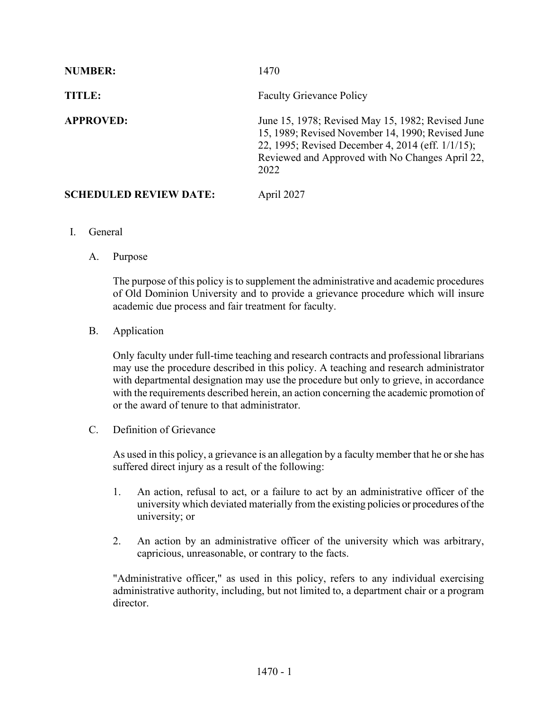| <b>NUMBER:</b>                | 1470                                                                                                                                                                                                                   |
|-------------------------------|------------------------------------------------------------------------------------------------------------------------------------------------------------------------------------------------------------------------|
| TITLE:                        | <b>Faculty Grievance Policy</b>                                                                                                                                                                                        |
| <b>APPROVED:</b>              | June 15, 1978; Revised May 15, 1982; Revised June<br>15, 1989; Revised November 14, 1990; Revised June<br>22, 1995; Revised December 4, 2014 (eff. 1/1/15);<br>Reviewed and Approved with No Changes April 22,<br>2022 |
| <b>SCHEDULED REVIEW DATE:</b> | April 2027                                                                                                                                                                                                             |

- I. General
	- A. Purpose

The purpose of this policy is to supplement the administrative and academic procedures of Old Dominion University and to provide a grievance procedure which will insure academic due process and fair treatment for faculty.

B. Application

Only faculty under full-time teaching and research contracts and professional librarians may use the procedure described in this policy. A teaching and research administrator with departmental designation may use the procedure but only to grieve, in accordance with the requirements described herein, an action concerning the academic promotion of or the award of tenure to that administrator.

C. Definition of Grievance

As used in this policy, a grievance is an allegation by a faculty member that he or she has suffered direct injury as a result of the following:

- 1. An action, refusal to act, or a failure to act by an administrative officer of the university which deviated materially from the existing policies or procedures of the university; or
- 2. An action by an administrative officer of the university which was arbitrary, capricious, unreasonable, or contrary to the facts.

"Administrative officer," as used in this policy, refers to any individual exercising administrative authority, including, but not limited to, a department chair or a program director.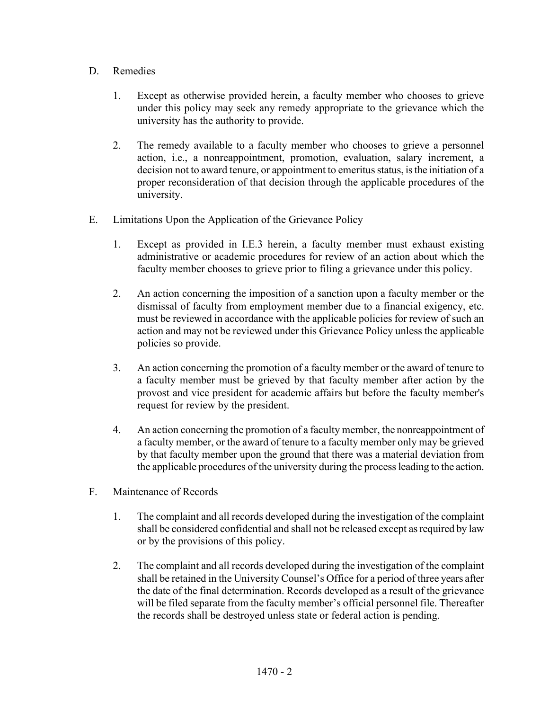## D. Remedies

- 1. Except as otherwise provided herein, a faculty member who chooses to grieve under this policy may seek any remedy appropriate to the grievance which the university has the authority to provide.
- 2. The remedy available to a faculty member who chooses to grieve a personnel action, i.e., a nonreappointment, promotion, evaluation, salary increment, a decision not to award tenure, or appointment to emeritus status, is the initiation of a proper reconsideration of that decision through the applicable procedures of the university.
- E. Limitations Upon the Application of the Grievance Policy
	- 1. Except as provided in I.E.3 herein, a faculty member must exhaust existing administrative or academic procedures for review of an action about which the faculty member chooses to grieve prior to filing a grievance under this policy.
	- 2. An action concerning the imposition of a sanction upon a faculty member or the dismissal of faculty from employment member due to a financial exigency, etc. must be reviewed in accordance with the applicable policies for review of such an action and may not be reviewed under this Grievance Policy unless the applicable policies so provide.
	- 3. An action concerning the promotion of a faculty member or the award of tenure to a faculty member must be grieved by that faculty member after action by the provost and vice president for academic affairs but before the faculty member's request for review by the president.
	- 4. An action concerning the promotion of a faculty member, the nonreappointment of a faculty member, or the award of tenure to a faculty member only may be grieved by that faculty member upon the ground that there was a material deviation from the applicable procedures of the university during the process leading to the action.
- F. Maintenance of Records
	- 1. The complaint and all records developed during the investigation of the complaint shall be considered confidential and shall not be released except as required by law or by the provisions of this policy.
	- 2. The complaint and all records developed during the investigation of the complaint shall be retained in the University Counsel's Office for a period of three years after the date of the final determination. Records developed as a result of the grievance will be filed separate from the faculty member's official personnel file. Thereafter the records shall be destroyed unless state or federal action is pending.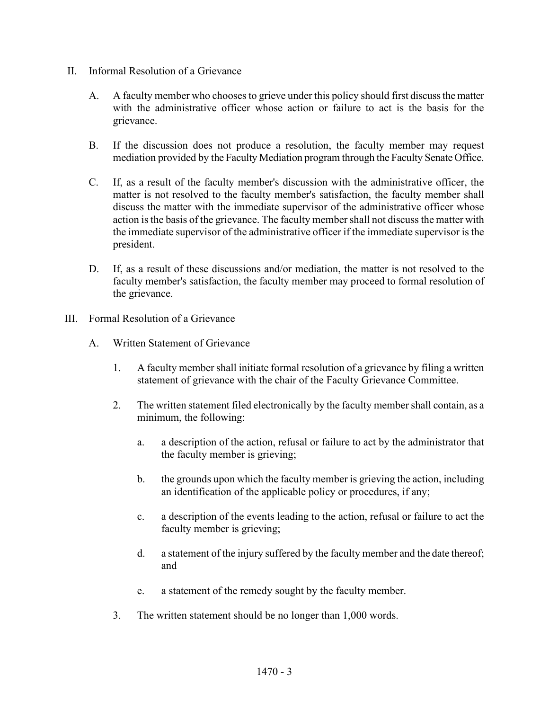- II. Informal Resolution of a Grievance
	- A. A faculty member who chooses to grieve under this policy should first discuss the matter with the administrative officer whose action or failure to act is the basis for the grievance.
	- B. If the discussion does not produce a resolution, the faculty member may request mediation provided by the Faculty Mediation program through the Faculty Senate Office.
	- C. If, as a result of the faculty member's discussion with the administrative officer, the matter is not resolved to the faculty member's satisfaction, the faculty member shall discuss the matter with the immediate supervisor of the administrative officer whose action is the basis of the grievance. The faculty member shall not discuss the matter with the immediate supervisor of the administrative officer if the immediate supervisor is the president.
	- D. If, as a result of these discussions and/or mediation, the matter is not resolved to the faculty member's satisfaction, the faculty member may proceed to formal resolution of the grievance.
- III. Formal Resolution of a Grievance
	- A. Written Statement of Grievance
		- 1. A faculty member shall initiate formal resolution of a grievance by filing a written statement of grievance with the chair of the Faculty Grievance Committee.
		- 2. The written statement filed electronically by the faculty member shall contain, as a minimum, the following:
			- a. a description of the action, refusal or failure to act by the administrator that the faculty member is grieving;
			- b. the grounds upon which the faculty member is grieving the action, including an identification of the applicable policy or procedures, if any;
			- c. a description of the events leading to the action, refusal or failure to act the faculty member is grieving;
			- d. a statement of the injury suffered by the faculty member and the date thereof; and
			- e. a statement of the remedy sought by the faculty member.
		- 3. The written statement should be no longer than 1,000 words.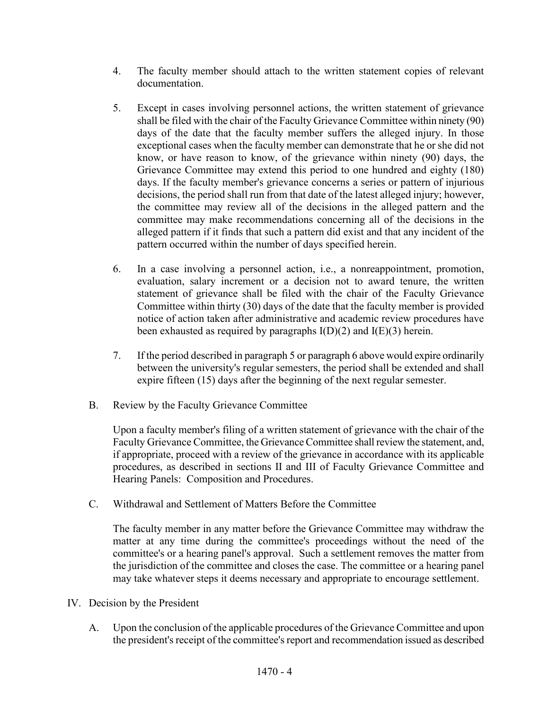- 4. The faculty member should attach to the written statement copies of relevant documentation.
- 5. Except in cases involving personnel actions, the written statement of grievance shall be filed with the chair of the Faculty Grievance Committee within ninety (90) days of the date that the faculty member suffers the alleged injury. In those exceptional cases when the faculty member can demonstrate that he or she did not know, or have reason to know, of the grievance within ninety (90) days, the Grievance Committee may extend this period to one hundred and eighty (180) days. If the faculty member's grievance concerns a series or pattern of injurious decisions, the period shall run from that date of the latest alleged injury; however, the committee may review all of the decisions in the alleged pattern and the committee may make recommendations concerning all of the decisions in the alleged pattern if it finds that such a pattern did exist and that any incident of the pattern occurred within the number of days specified herein.
- 6. In a case involving a personnel action, i.e., a nonreappointment, promotion, evaluation, salary increment or a decision not to award tenure, the written statement of grievance shall be filed with the chair of the Faculty Grievance Committee within thirty (30) days of the date that the faculty member is provided notice of action taken after administrative and academic review procedures have been exhausted as required by paragraphs  $I(D)(2)$  and  $I(E)(3)$  herein.
- 7. If the period described in paragraph 5 or paragraph 6 above would expire ordinarily between the university's regular semesters, the period shall be extended and shall expire fifteen (15) days after the beginning of the next regular semester.
- B. Review by the Faculty Grievance Committee

Upon a faculty member's filing of a written statement of grievance with the chair of the Faculty Grievance Committee, the Grievance Committee shall review the statement, and, if appropriate, proceed with a review of the grievance in accordance with its applicable procedures, as described in sections II and III of Faculty Grievance Committee and Hearing Panels: Composition and Procedures.

C. Withdrawal and Settlement of Matters Before the Committee

The faculty member in any matter before the Grievance Committee may withdraw the matter at any time during the committee's proceedings without the need of the committee's or a hearing panel's approval. Such a settlement removes the matter from the jurisdiction of the committee and closes the case. The committee or a hearing panel may take whatever steps it deems necessary and appropriate to encourage settlement.

- IV. Decision by the President
	- A. Upon the conclusion of the applicable procedures of the Grievance Committee and upon the president's receipt of the committee's report and recommendation issued as described